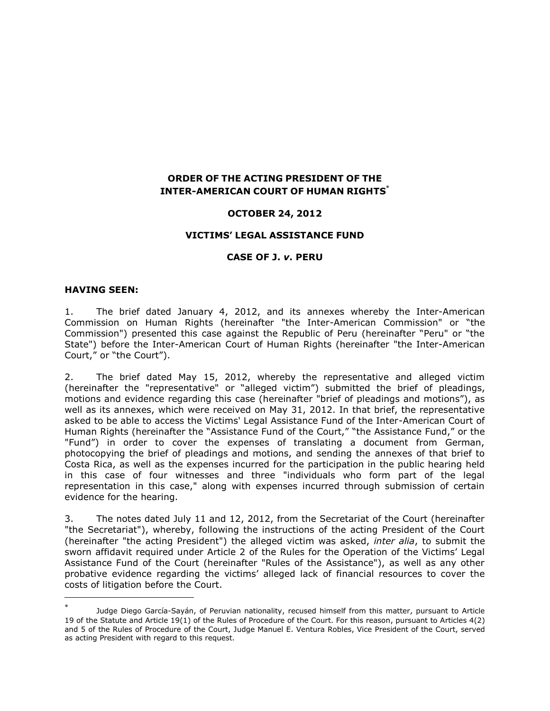# **ORDER OF THE ACTING PRESIDENT OF THE INTER-AMERICAN COURT OF HUMAN RIGHTS**

## **OCTOBER 24, 2012**

### **VICTIMS' LEGAL ASSISTANCE FUND**

### **CASE OF J.** *v***. PERU**

#### **HAVING SEEN:**

 $\overline{a}$ 

1. The brief dated January 4, 2012, and its annexes whereby the Inter-American Commission on Human Rights (hereinafter "the Inter-American Commission" or "the Commission") presented this case against the Republic of Peru (hereinafter "Peru" or "the State") before the Inter-American Court of Human Rights (hereinafter "the Inter-American Court," or "the Court").

2. The brief dated May 15, 2012, whereby the representative and alleged victim (hereinafter the "representative" or "alleged victim") submitted the brief of pleadings, motions and evidence regarding this case (hereinafter "brief of pleadings and motions"), as well as its annexes, which were received on May 31, 2012. In that brief, the representative asked to be able to access the Victims' Legal Assistance Fund of the Inter-American Court of Human Rights (hereinafter the "Assistance Fund of the Court," "the Assistance Fund," or the "Fund") in order to cover the expenses of translating a document from German, photocopying the brief of pleadings and motions, and sending the annexes of that brief to Costa Rica, as well as the expenses incurred for the participation in the public hearing held in this case of four witnesses and three "individuals who form part of the legal representation in this case," along with expenses incurred through submission of certain evidence for the hearing.

<span id="page-0-0"></span>3. The notes dated July 11 and 12, 2012, from the Secretariat of the Court (hereinafter "the Secretariat"), whereby, following the instructions of the acting President of the Court (hereinafter "the acting President") the alleged victim was asked, *inter alia*, to submit the sworn affidavit required under Article 2 of the Rules for the Operation of the Victims' Legal Assistance Fund of the Court (hereinafter "Rules of the Assistance"), as well as any other probative evidence regarding the victims' alleged lack of financial resources to cover the costs of litigation before the Court.

<sup>×</sup> Judge Diego García-Sayán, of Peruvian nationality, recused himself from this matter, pursuant to Article 19 of the Statute and Article 19(1) of the Rules of Procedure of the Court. For this reason, pursuant to Articles 4(2) and 5 of the Rules of Procedure of the Court, Judge Manuel E. Ventura Robles, Vice President of the Court, served as acting President with regard to this request.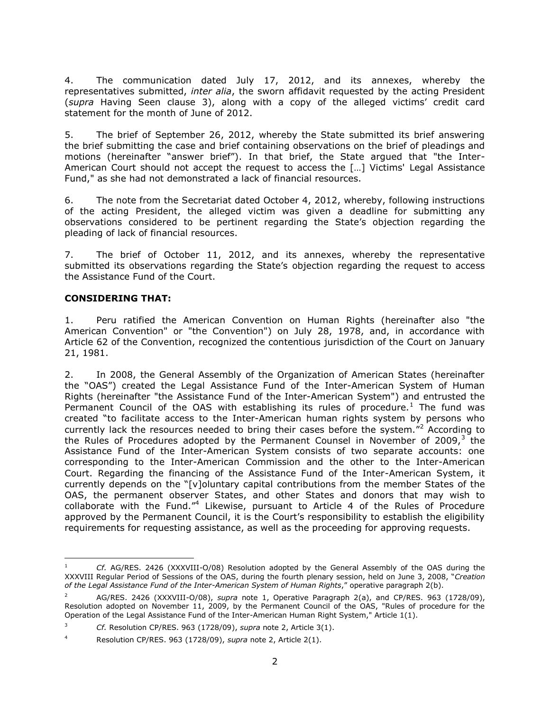4. The communication dated July 17, 2012, and its annexes, whereby the representatives submitted, *inter alia*, the sworn affidavit requested by the acting President (*supra* Having Seen clause [3](#page-0-0)), along with a copy of the alleged victims' credit card statement for the month of June of 2012.

5. The brief of September 26, 2012, whereby the State submitted its brief answering the brief submitting the case and brief containing observations on the brief of pleadings and motions (hereinafter "answer brief"). In that brief, the State argued that "the Inter-American Court should not accept the request to access the […] Victims' Legal Assistance Fund," as she had not demonstrated a lack of financial resources.

6. The note from the Secretariat dated October 4, 2012, whereby, following instructions of the acting President, the alleged victim was given a deadline for submitting any observations considered to be pertinent regarding the State's objection regarding the pleading of lack of financial resources.

7. The brief of October 11, 2012, and its annexes, whereby the representative submitted its observations regarding the State's objection regarding the request to access the Assistance Fund of the Court.

# **CONSIDERING THAT:**

1. Peru ratified the American Convention on Human Rights (hereinafter also "the American Convention" or "the Convention") on July 28, 1978, and, in accordance with Article 62 of the Convention, recognized the contentious jurisdiction of the Court on January 21, 1981.

2. In 2008, the General Assembly of the Organization of American States (hereinafter the "OAS") created the Legal Assistance Fund of the Inter-American System of Human Rights (hereinafter "the Assistance Fund of the Inter-American System") and entrusted the Permanent Council of the OAS with establishing its rules of procedure.<sup>1</sup> The fund was created "to facilitate access to the Inter-American human rights system by persons who currently lack the resources needed to bring their cases before the system. $^{2}$  According to the Rules of Procedures adopted by the Permanent Counsel in November of 2009, $3$  the Assistance Fund of the Inter-American System consists of two separate accounts: one corresponding to the Inter-American Commission and the other to the Inter-American Court. Regarding the financing of the Assistance Fund of the Inter-American System, it currently depends on the "[v]oluntary capital contributions from the member States of the OAS, the permanent observer States, and other States and donors that may wish to collaborate with the Fund."<sup>4</sup> Likewise, pursuant to Article 4 of the Rules of Procedure approved by the Permanent Council, it is the Court's responsibility to establish the eligibility requirements for requesting assistance, as well as the proceeding for approving requests.

 $\overline{a}$ <sup>1</sup> *Cf.* AG/RES. 2426 (XXXVIII-O/08) Resolution adopted by the General Assembly of the OAS during the XXXVIII Regular Period of Sessions of the OAS, during the fourth plenary session, held on June 3, 2008, "*Creation of the Legal Assistance Fund of the Inter-American System of Human Rights*," operative paragraph 2(b).

<sup>2</sup> AG/RES. 2426 (XXXVIII-O/08), *supra* note 1, Operative Paragraph 2(a), and CP/RES. 963 (1728/09), Resolution adopted on November 11, 2009, by the Permanent Council of the OAS, "Rules of procedure for the Operation of the Legal Assistance Fund of the Inter-American Human Right System," Article 1(1).

<sup>3</sup> *Cf.* Resolution CP/RES. 963 (1728/09), *supra* note 2, Article 3(1).

<sup>4</sup> Resolution CP/RES. 963 (1728/09), *supra* note 2, Article 2(1).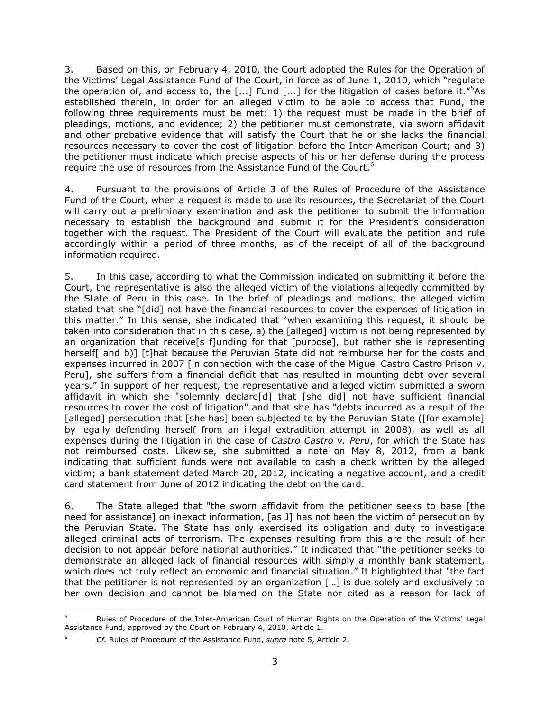3. Based on this, on February 4, 2010, the Court adopted the Rules for the Operation of the Victims' Legal Assistance Fund of the Court, in force as of June 1, 2010, which "regulate the operation of, and access to, the [...] Fund [...] for the litigation of cases before it."<sup>5</sup>As established therein, in order for an alleged victim to be able to access that Fund, the following three requirements must be met: 1) the request must be made in the brief of pleadings, motions, and evidence; 2) the petitioner must demonstrate, via sworn affidavit and other probative evidence that will satisfy the Court that he or she lacks the financial resources necessary to cover the cost of litigation before the Inter-American Court; and 3) the petitioner must indicate which precise aspects of his or her defense during the process require the use of resources from the Assistance Fund of the Court.<sup>6</sup>

4. Pursuant to the provisions of Article 3 of the Rules of Procedure of the Assistance Fund of the Court, when a request is made to use its resources, the Secretariat of the Court will carry out a preliminary examination and ask the petitioner to submit the information necessary to establish the background and submit it for the President's consideration together with the request. The President of the Court will evaluate the petition and rule accordingly within a period of three months, as of the receipt of all of the background information required.

5. In this case, according to what the Commission indicated on submitting it before the Court, the representative is also the alleged victim of the violations allegedly committed by the State of Peru in this case. In the brief of pleadings and motions, the alleged victim stated that she "[did] not have the financial resources to cover the expenses of litigation in this matter." In this sense, she indicated that "when examining this request, it should be taken into consideration that in this case, a) the [alleged] victim is not being represented by an organization that receive [s f]unding for that [purpose], but rather she is representing herself[ and b)] [t]hat because the Peruvian State did not reimburse her for the costs and expenses incurred in 2007 [in connection with the case of the Miguel Castro Castro Prison v. Peru], she suffers from a financial deficit that has resulted in mounting debt over several years." In support of her request, the representative and alleged victim submitted a sworn affidavit in which she "solemnly declare[d] that [she did] not have sufficient financial resources to cover the cost of litigation" and that she has "debts incurred as a result of the [alleged] persecution that [she has] been subjected to by the Peruvian State ([for example] by legally defending herself from an illegal extradition attempt in 2008), as well as all expenses during the litigation in the case of *Castro Castro v. Peru*, for which the State has not reimbursed costs. Likewise, she submitted a note on May 8, 2012, from a bank indicating that sufficient funds were not available to cash a check written by the alleged victim; a bank statement dated March 20, 2012, indicating a negative account, and a credit card statement from June of 2012 indicating the debt on the card.

6. The State alleged that "the sworn affidavit from the petitioner seeks to base [the need for assistance] on inexact information, [as J] has not been the victim of persecution by the Peruvian State. The State has only exercised its obligation and duty to investigate alleged criminal acts of terrorism. The expenses resulting from this are the result of her decision to not appear before national authorities." It indicated that "the petitioner seeks to demonstrate an alleged lack of financial resources with simply a monthly bank statement, which does not truly reflect an economic and financial situation." It highlighted that "the fact that the petitioner is not represented by an organization […] is due solely and exclusively to her own decision and cannot be blamed on the State nor cited as a reason for lack of

 $\overline{a}$ Rules of Procedure of the Inter-American Court of Human Rights on the Operation of the Victims' Legal Assistance Fund, approved by the Court on February 4, 2010, Article 1.

<sup>6</sup> *Cf.* Rules of Procedure of the Assistance Fund, *supra* note 5, Article 2.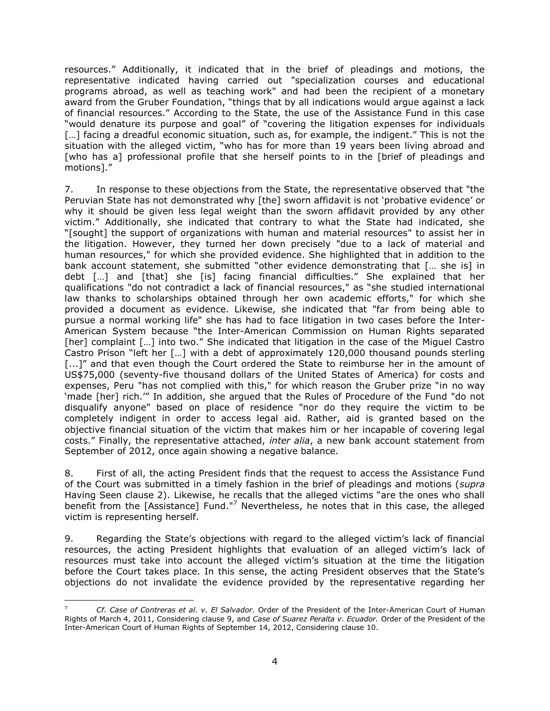resources." Additionally, it indicated that in the brief of pleadings and motions, the representative indicated having carried out "specialization courses and educational programs abroad, as well as teaching work" and had been the recipient of a monetary award from the Gruber Foundation, "things that by all indications would argue against a lack of financial resources." According to the State, the use of the Assistance Fund in this case "would denature its purpose and goal" of "covering the litigation expenses for individuals [...] facing a dreadful economic situation, such as, for example, the indigent." This is not the situation with the alleged victim, "who has for more than 19 years been living abroad and [who has a] professional profile that she herself points to in the [brief of pleadings and motions]."

7. In response to these objections from the State, the representative observed that "the Peruvian State has not demonstrated why [the] sworn affidavit is not 'probative evidence' or why it should be given less legal weight than the sworn affidavit provided by any other victim." Additionally, she indicated that contrary to what the State had indicated, she "[sought] the support of organizations with human and material resources" to assist her in the litigation. However, they turned her down precisely "due to a lack of material and human resources," for which she provided evidence. She highlighted that in addition to the bank account statement, she submitted "other evidence demonstrating that [… she is] in debt […] and [that] she [is] facing financial difficulties." She explained that her qualifications "do not contradict a lack of financial resources," as "she studied international law thanks to scholarships obtained through her own academic efforts," for which she provided a document as evidence. Likewise, she indicated that "far from being able to pursue a normal working life" she has had to face litigation in two cases before the Inter-American System because "the Inter-American Commission on Human Rights separated [her] complaint [...] into two." She indicated that litigation in the case of the Miguel Castro Castro Prison "left her […] with a debt of approximately 120,000 thousand pounds sterling [...]" and that even though the Court ordered the State to reimburse her in the amount of US\$75,000 (seventy-five thousand dollars of the United States of America) for costs and expenses, Peru "has not complied with this," for which reason the Gruber prize "in no way 'made [her] rich.'" In addition, she argued that the Rules of Procedure of the Fund "do not disqualify anyone" based on place of residence "nor do they require the victim to be completely indigent in order to access legal aid. Rather, aid is granted based on the objective financial situation of the victim that makes him or her incapable of covering legal costs." Finally, the representative attached, *inter alia*, a new bank account statement from September of 2012, once again showing a negative balance.

8. First of all, the acting President finds that the request to access the Assistance Fund of the Court was submitted in a timely fashion in the brief of pleadings and motions (*supra*  Having Seen clause 2). Likewise, he recalls that the alleged victims "are the ones who shall benefit from the [Assistance] Fund."<sup>7</sup> Nevertheless, he notes that in this case, the alleged victim is representing herself.

9. Regarding the State's objections with regard to the alleged victim's lack of financial resources, the acting President highlights that evaluation of an alleged victim's lack of resources must take into account the alleged victim's situation at the time the litigation before the Court takes place. In this sense, the acting President observes that the State's objections do not invalidate the evidence provided by the representative regarding her

 $\overline{a}$ 

<sup>7</sup> *Cf. Case of Contreras et al. v. El Salvador.* Order of the President of the Inter-American Court of Human Rights of March 4, 2011, Considering clause 9, and *Case of Suarez Peralta v. Ecuador.* Order of the President of the Inter-American Court of Human Rights of September 14, 2012, Considering clause 10.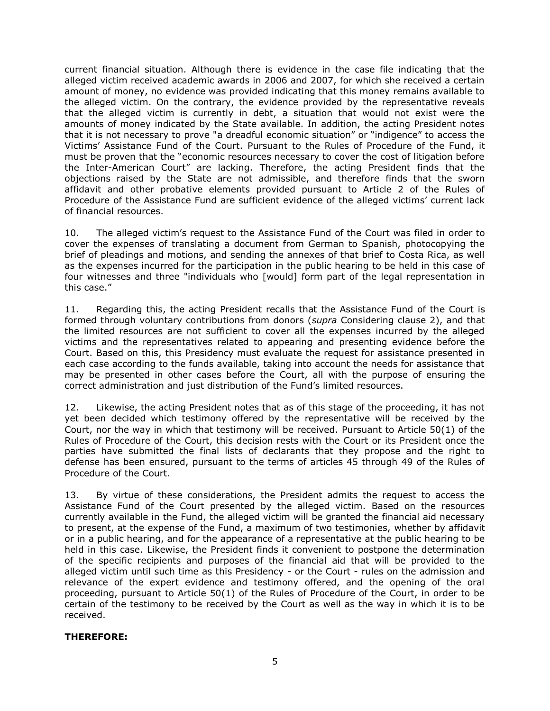current financial situation. Although there is evidence in the case file indicating that the alleged victim received academic awards in 2006 and 2007, for which she received a certain amount of money, no evidence was provided indicating that this money remains available to the alleged victim. On the contrary, the evidence provided by the representative reveals that the alleged victim is currently in debt, a situation that would not exist were the amounts of money indicated by the State available. In addition, the acting President notes that it is not necessary to prove "a dreadful economic situation" or "indigence" to access the Victims' Assistance Fund of the Court. Pursuant to the Rules of Procedure of the Fund, it must be proven that the "economic resources necessary to cover the cost of litigation before the Inter-American Court" are lacking. Therefore, the acting President finds that the objections raised by the State are not admissible, and therefore finds that the sworn affidavit and other probative elements provided pursuant to Article 2 of the Rules of Procedure of the Assistance Fund are sufficient evidence of the alleged victims' current lack of financial resources.

10. The alleged victim's request to the Assistance Fund of the Court was filed in order to cover the expenses of translating a document from German to Spanish, photocopying the brief of pleadings and motions, and sending the annexes of that brief to Costa Rica, as well as the expenses incurred for the participation in the public hearing to be held in this case of four witnesses and three "individuals who [would] form part of the legal representation in this case."

11. Regarding this, the acting President recalls that the Assistance Fund of the Court is formed through voluntary contributions from donors (*supra* Considering clause 2), and that the limited resources are not sufficient to cover all the expenses incurred by the alleged victims and the representatives related to appearing and presenting evidence before the Court. Based on this, this Presidency must evaluate the request for assistance presented in each case according to the funds available, taking into account the needs for assistance that may be presented in other cases before the Court, all with the purpose of ensuring the correct administration and just distribution of the Fund's limited resources.

12. Likewise, the acting President notes that as of this stage of the proceeding, it has not yet been decided which testimony offered by the representative will be received by the Court, nor the way in which that testimony will be received. Pursuant to Article 50(1) of the Rules of Procedure of the Court, this decision rests with the Court or its President once the parties have submitted the final lists of declarants that they propose and the right to defense has been ensured, pursuant to the terms of articles 45 through 49 of the Rules of Procedure of the Court.

13. By virtue of these considerations, the President admits the request to access the Assistance Fund of the Court presented by the alleged victim. Based on the resources currently available in the Fund, the alleged victim will be granted the financial aid necessary to present, at the expense of the Fund, a maximum of two testimonies, whether by affidavit or in a public hearing, and for the appearance of a representative at the public hearing to be held in this case. Likewise, the President finds it convenient to postpone the determination of the specific recipients and purposes of the financial aid that will be provided to the alleged victim until such time as this Presidency - or the Court - rules on the admission and relevance of the expert evidence and testimony offered, and the opening of the oral proceeding, pursuant to Article 50(1) of the Rules of Procedure of the Court, in order to be certain of the testimony to be received by the Court as well as the way in which it is to be received.

## **THEREFORE:**